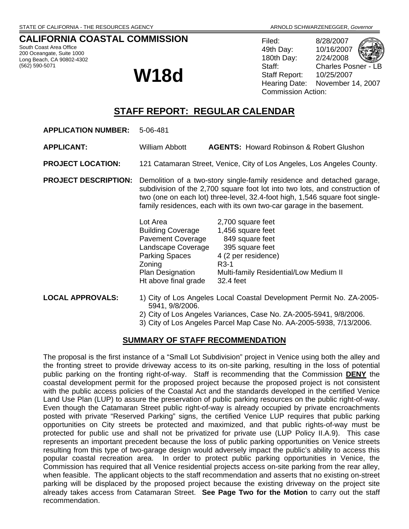## **CALIFORNIA COASTAL COMMISSION**

South Coast Area Office 200 Oceangate, Suite 1000 Long Beach, CA 90802-4302 (562) 590-5071

# **W18d**

Filed: 8/28/2007 49th Day: 10/16/2007 180th Day: 2/24/2008 Staff: Charles Posner - LB Staff Report: 10/25/2007<br>Hearing Date: November November 14, 2007 Commission Action:

## **STAFF REPORT: REGULAR CALENDAR**

**APPLICATION NUMBER:** 5-06-481

**APPLICANT:** William Abbott **AGENTS:** Howard Robinson & Robert Glushon

**PROJECT LOCATION:** 121 Catamaran Street, Venice, City of Los Angeles, Los Angeles County.

**PROJECT DESCRIPTION:** Demolition of a two-story single-family residence and detached garage, subdivision of the 2,700 square foot lot into two lots, and construction of two (one on each lot) three-level, 32.4-foot high, 1,546 square foot singlefamily residences, each with its own two-car garage in the basement.

| Lot Area<br><b>Building Coverage</b> | 2,700 square feet<br>1,456 square feet |
|--------------------------------------|----------------------------------------|
| <b>Pavement Coverage</b>             | 849 square feet                        |
| Landscape Coverage                   | 395 square feet                        |
| <b>Parking Spaces</b>                | 4 (2 per residence)                    |
| Zoning                               | $R3-1$                                 |
| Plan Designation                     | Multi-family Residential/Low Medium II |
| Ht above final grade                 | 32.4 feet                              |

- **LOCAL APPROVALS:** 1) City of Los Angeles Local Coastal Development Permit No. ZA-2005- 5941, 9/8/2006.
	- 2) City of Los Angeles Variances, Case No. ZA-2005-5941, 9/8/2006.
	- 3) City of Los Angeles Parcel Map Case No. AA-2005-5938, 7/13/2006.

### **SUMMARY OF STAFF RECOMMENDATION**

The proposal is the first instance of a "Small Lot Subdivision" project in Venice using both the alley and the fronting street to provide driveway access to its on-site parking, resulting in the loss of potential public parking on the fronting right-of-way. Staff is recommending that the Commission **DENY** the coastal development permit for the proposed project because the proposed project is not consistent with the public access policies of the Coastal Act and the standards developed in the certified Venice Land Use Plan (LUP) to assure the preservation of public parking resources on the public right-of-way. Even though the Catamaran Street public right-of-way is already occupied by private encroachments posted with private "Reserved Parking" signs, the certified Venice LUP requires that public parking opportunities on City streets be protected and maximized, and that public rights-of-way must be protected for public use and shall not be privatized for private use (LUP Policy II.A.9). This case represents an important precedent because the loss of public parking opportunities on Venice streets resulting from this type of two-garage design would adversely impact the public's ability to access this popular coastal recreation area. In order to protect public parking opportunities in Venice, the Commission has required that all Venice residential projects access on-site parking from the rear alley, when feasible. The applicant objects to the staff recommendation and asserts that no existing on-street parking will be displaced by the proposed project because the existing driveway on the project site already takes access from Catamaran Street. **See Page Two for the Motion** to carry out the staff recommendation.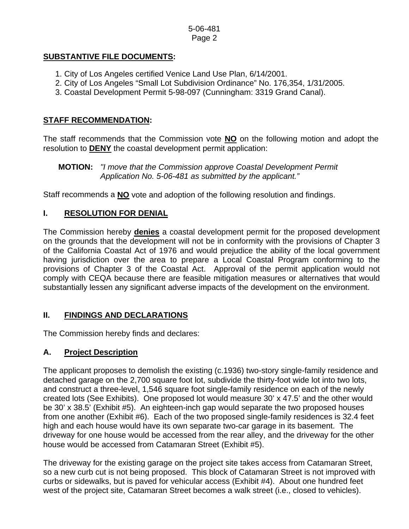### 5-06-481 Page 2

## **SUBSTANTIVE FILE DOCUMENTS:**

- 1. City of Los Angeles certified Venice Land Use Plan, 6/14/2001.
- 2. City of Los Angeles "Small Lot Subdivision Ordinance" No. 176,354, 1/31/2005.
- 3. Coastal Development Permit 5-98-097 (Cunningham: 3319 Grand Canal).

## **STAFF RECOMMENDATION:**

The staff recommends that the Commission vote **NO** on the following motion and adopt the resolution to **DENY** the coastal development permit application:

 **MOTION:** *"I move that the Commission approve Coastal Development Permit Application No. 5-06-481 as submitted by the applicant."* 

Staff recommends a **NO** vote and adoption of the following resolution and findings.

## **I. RESOLUTION FOR DENIAL**

The Commission hereby **denies** a coastal development permit for the proposed development on the grounds that the development will not be in conformity with the provisions of Chapter 3 of the California Coastal Act of 1976 and would prejudice the ability of the local government having jurisdiction over the area to prepare a Local Coastal Program conforming to the provisions of Chapter 3 of the Coastal Act. Approval of the permit application would not comply with CEQA because there are feasible mitigation measures or alternatives that would substantially lessen any significant adverse impacts of the development on the environment.

## **II. FINDINGS AND DECLARATIONS**

The Commission hereby finds and declares:

## **A. Project Description**

The applicant proposes to demolish the existing (c.1936) two-story single-family residence and detached garage on the 2,700 square foot lot, subdivide the thirty-foot wide lot into two lots, and construct a three-level, 1,546 square foot single-family residence on each of the newly created lots (See Exhibits). One proposed lot would measure 30' x 47.5' and the other would be 30' x 38.5' (Exhibit #5). An eighteen-inch gap would separate the two proposed houses from one another (Exhibit #6). Each of the two proposed single-family residences is 32.4 feet high and each house would have its own separate two-car garage in its basement. The driveway for one house would be accessed from the rear alley, and the driveway for the other house would be accessed from Catamaran Street (Exhibit #5).

The driveway for the existing garage on the project site takes access from Catamaran Street, so a new curb cut is not being proposed. This block of Catamaran Street is not improved with curbs or sidewalks, but is paved for vehicular access (Exhibit #4). About one hundred feet west of the project site, Catamaran Street becomes a walk street (i.e., closed to vehicles).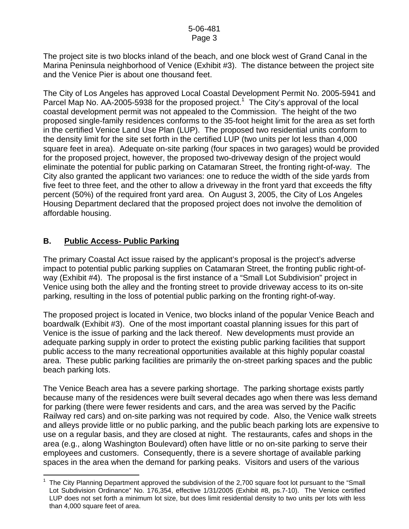The project site is two blocks inland of the beach, and one block west of Grand Canal in the Marina Peninsula neighborhood of Venice (Exhibit #3). The distance between the project site and the Venice Pier is about one thousand feet.

The City of Los Angeles has approved Local Coastal Development Permit No. 2005-5941 and Parcel Map No.  $AA$ -2005-5938 for the proposed project.<sup>[1](#page-2-0)</sup> The City's approval of the local coastal development permit was not appealed to the Commission. The height of the two proposed single-family residences conforms to the 35-foot height limit for the area as set forth in the certified Venice Land Use Plan (LUP). The proposed two residential units conform to the density limit for the site set forth in the certified LUP (two units per lot less than 4,000 square feet in area). Adequate on-site parking (four spaces in two garages) would be provided for the proposed project, however, the proposed two-driveway design of the project would eliminate the potential for public parking on Catamaran Street, the fronting right-of-way. The City also granted the applicant two variances: one to reduce the width of the side yards from five feet to three feet, and the other to allow a driveway in the front yard that exceeds the fifty percent (50%) of the required front yard area. On August 3, 2005, the City of Los Angeles Housing Department declared that the proposed project does not involve the demolition of affordable housing.

## **B. Public Access- Public Parking**

The primary Coastal Act issue raised by the applicant's proposal is the project's adverse impact to potential public parking supplies on Catamaran Street, the fronting public right-ofway (Exhibit #4). The proposal is the first instance of a "Small Lot Subdivision" project in Venice using both the alley and the fronting street to provide driveway access to its on-site parking, resulting in the loss of potential public parking on the fronting right-of-way.

The proposed project is located in Venice, two blocks inland of the popular Venice Beach and boardwalk (Exhibit #3). One of the most important coastal planning issues for this part of Venice is the issue of parking and the lack thereof. New developments must provide an adequate parking supply in order to protect the existing public parking facilities that support public access to the many recreational opportunities available at this highly popular coastal area. These public parking facilities are primarily the on-street parking spaces and the public beach parking lots.

The Venice Beach area has a severe parking shortage. The parking shortage exists partly because many of the residences were built several decades ago when there was less demand for parking (there were fewer residents and cars, and the area was served by the Pacific Railway red cars) and on-site parking was not required by code. Also, the Venice walk streets and alleys provide little or no public parking, and the public beach parking lots are expensive to use on a regular basis, and they are closed at night. The restaurants, cafes and shops in the area (e.g., along Washington Boulevard) often have little or no on-site parking to serve their employees and customers. Consequently, there is a severe shortage of available parking spaces in the area when the demand for parking peaks. Visitors and users of the various

<span id="page-2-0"></span> $\overline{a}$ 1 The City Planning Department approved the subdivision of the 2,700 square foot lot pursuant to the "Small Lot Subdivision Ordinance" No. 176,354, effective 1/31/2005 (Exhibit #8, ps.7-10). The Venice certified LUP does not set forth a minimum lot size, but does limit residential density to two units per lots with less than 4,000 square feet of area.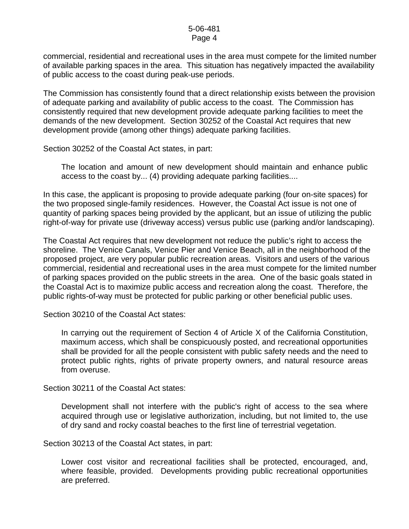commercial, residential and recreational uses in the area must compete for the limited number of available parking spaces in the area. This situation has negatively impacted the availability of public access to the coast during peak-use periods.

The Commission has consistently found that a direct relationship exists between the provision of adequate parking and availability of public access to the coast. The Commission has consistently required that new development provide adequate parking facilities to meet the demands of the new development. Section 30252 of the Coastal Act requires that new development provide (among other things) adequate parking facilities.

Section 30252 of the Coastal Act states, in part:

The location and amount of new development should maintain and enhance public access to the coast by... (4) providing adequate parking facilities....

In this case, the applicant is proposing to provide adequate parking (four on-site spaces) for the two proposed single-family residences. However, the Coastal Act issue is not one of quantity of parking spaces being provided by the applicant, but an issue of utilizing the public right-of-way for private use (driveway access) versus public use (parking and/or landscaping).

The Coastal Act requires that new development not reduce the public's right to access the shoreline. The Venice Canals, Venice Pier and Venice Beach, all in the neighborhood of the proposed project, are very popular public recreation areas. Visitors and users of the various commercial, residential and recreational uses in the area must compete for the limited number of parking spaces provided on the public streets in the area. One of the basic goals stated in the Coastal Act is to maximize public access and recreation along the coast. Therefore, the public rights-of-way must be protected for public parking or other beneficial public uses.

Section 30210 of the Coastal Act states:

In carrying out the requirement of Section 4 of Article X of the California Constitution, maximum access, which shall be conspicuously posted, and recreational opportunities shall be provided for all the people consistent with public safety needs and the need to protect public rights, rights of private property owners, and natural resource areas from overuse.

Section 30211 of the Coastal Act states:

Development shall not interfere with the public's right of access to the sea where acquired through use or legislative authorization, including, but not limited to, the use of dry sand and rocky coastal beaches to the first line of terrestrial vegetation.

Section 30213 of the Coastal Act states, in part:

Lower cost visitor and recreational facilities shall be protected, encouraged, and, where feasible, provided. Developments providing public recreational opportunities are preferred.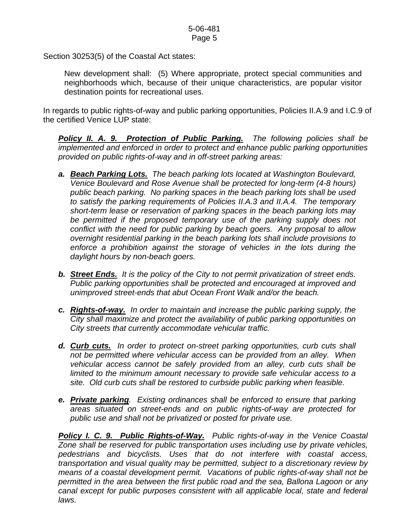Section 30253(5) of the Coastal Act states:

 New development shall: (5) Where appropriate, protect special communities and neighborhoods which, because of their unique characteristics, are popular visitor destination points for recreational uses.

In regards to public rights-of-way and public parking opportunities, Policies II.A.9 and I.C.9 of the certified Venice LUP state:

*Policy II. A. 9. Protection of Public Parking. The following policies shall be implemented and enforced in order to protect and enhance public parking opportunities provided on public rights-of-way and in off-street parking areas:* 

- *a. Beach Parking Lots. The beach parking lots located at Washington Boulevard, Venice Boulevard and Rose Avenue shall be protected for long-term (4-8 hours) public beach parking. No parking spaces in the beach parking lots shall be used to satisfy the parking requirements of Policies II.A.3 and II.A.4. The temporary short-term lease or reservation of parking spaces in the beach parking lots may*  be permitted if the proposed temporary use of the parking supply does not *conflict with the need for public parking by beach goers. Any proposal to allow overnight residential parking in the beach parking lots shall include provisions to enforce a prohibition against the storage of vehicles in the lots during the daylight hours by non-beach goers.*
- *b. Street Ends. It is the policy of the City to not permit privatization of street ends. Public parking opportunities shall be protected and encouraged at improved and unimproved street-ends that abut Ocean Front Walk and/or the beach.*
- *c. Rights-of-way. In order to maintain and increase the public parking supply, the City shall maximize and protect the availability of public parking opportunities on City streets that currently accommodate vehicular traffic.*
- *d. Curb cuts. In order to protect on-street parking opportunities, curb cuts shall not be permitted where vehicular access can be provided from an alley. When vehicular access cannot be safely provided from an alley, curb cuts shall be*  limited to the minimum amount necessary to provide safe vehicular access to a *site. Old curb cuts shall be restored to curbside public parking when feasible.*
- *e. Private parking. Existing ordinances shall be enforced to ensure that parking areas situated on street-ends and on public rights-of-way are protected for public use and shall not be privatized or posted for private use.*

*Policy I. C. 9. Public Rights-of-Way. Public rights-of-way in the Venice Coastal Zone shall be reserved for public transportation uses including use by private vehicles, pedestrians and bicyclists. Uses that do not interfere with coastal access, transportation and visual quality may be permitted, subject to a discretionary review by means of a coastal development permit. Vacations of public rights-of-way shall not be permitted in the area between the first public road and the sea, Ballona Lagoon or any canal except for public purposes consistent with all applicable local, state and federal laws.*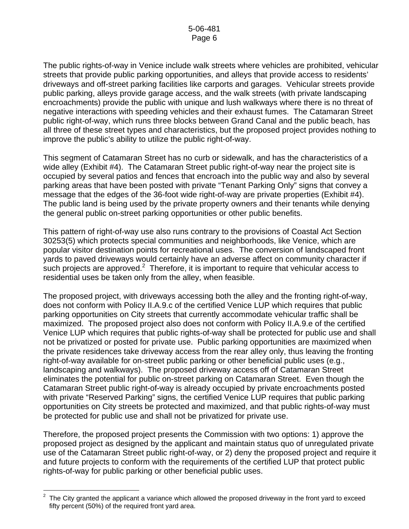The public rights-of-way in Venice include walk streets where vehicles are prohibited, vehicular streets that provide public parking opportunities, and alleys that provide access to residents' driveways and off-street parking facilities like carports and garages. Vehicular streets provide public parking, alleys provide garage access, and the walk streets (with private landscaping encroachments) provide the public with unique and lush walkways where there is no threat of negative interactions with speeding vehicles and their exhaust fumes. The Catamaran Street public right-of-way, which runs three blocks between Grand Canal and the public beach, has all three of these street types and characteristics, but the proposed project provides nothing to improve the public's ability to utilize the public right-of-way.

This segment of Catamaran Street has no curb or sidewalk, and has the characteristics of a wide alley (Exhibit #4). The Catamaran Street public right-of-way near the project site is occupied by several patios and fences that encroach into the public way and also by several parking areas that have been posted with private "Tenant Parking Only" signs that convey a message that the edges of the 36-foot wide right-of-way are private properties (Exhibit #4). The public land is being used by the private property owners and their tenants while denying the general public on-street parking opportunities or other public benefits.

This pattern of right-of-way use also runs contrary to the provisions of Coastal Act Section 30253(5) which protects special communities and neighborhoods, like Venice, which are popular visitor destination points for recreational uses. The conversion of landscaped front yards to paved driveways would certainly have an adverse affect on community character if such projects are approved.<sup>[2](#page-5-0)</sup> Therefore, it is important to require that vehicular access to residential uses be taken only from the alley, when feasible.

The proposed project, with driveways accessing both the alley and the fronting right-of-way, does not conform with Policy II.A.9.c of the certified Venice LUP which requires that public parking opportunities on City streets that currently accommodate vehicular traffic shall be maximized. The proposed project also does not conform with Policy II.A.9.e of the certified Venice LUP which requires that public rights-of-way shall be protected for public use and shall not be privatized or posted for private use. Public parking opportunities are maximized when the private residences take driveway access from the rear alley only, thus leaving the fronting right-of-way available for on-street public parking or other beneficial public uses (e.g., landscaping and walkways). The proposed driveway access off of Catamaran Street eliminates the potential for public on-street parking on Catamaran Street. Even though the Catamaran Street public right-of-way is already occupied by private encroachments posted with private "Reserved Parking" signs, the certified Venice LUP requires that public parking opportunities on City streets be protected and maximized, and that public rights-of-way must be protected for public use and shall not be privatized for private use.

Therefore, the proposed project presents the Commission with two options: 1) approve the proposed project as designed by the applicant and maintain status quo of unregulated private use of the Catamaran Street public right-of-way, or 2) deny the proposed project and require it and future projects to conform with the requirements of the certified LUP that protect public rights-of-way for public parking or other beneficial public uses.

<span id="page-5-0"></span><sup>&</sup>lt;u>2</u><br><sup>2</sup> The City granted the applicant a variance which allowed the proposed driveway in the front yard to exceed fifty percent (50%) of the required front yard area.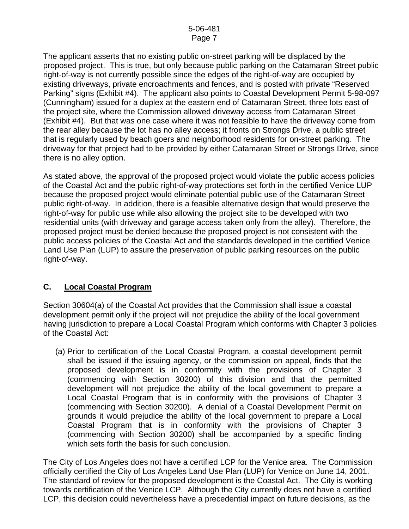The applicant asserts that no existing public on-street parking will be displaced by the proposed project. This is true, but only because public parking on the Catamaran Street public right-of-way is not currently possible since the edges of the right-of-way are occupied by existing driveways, private encroachments and fences, and is posted with private "Reserved Parking" signs (Exhibit #4). The applicant also points to Coastal Development Permit 5-98-097 (Cunningham) issued for a duplex at the eastern end of Catamaran Street, three lots east of the project site, where the Commission allowed driveway access from Catamaran Street (Exhibit #4). But that was one case where it was not feasible to have the driveway come from the rear alley because the lot has no alley access; it fronts on Strongs Drive, a public street that is regularly used by beach goers and neighborhood residents for on-street parking. The driveway for that project had to be provided by either Catamaran Street or Strongs Drive, since there is no alley option.

As stated above, the approval of the proposed project would violate the public access policies of the Coastal Act and the public right-of-way protections set forth in the certified Venice LUP because the proposed project would eliminate potential public use of the Catamaran Street public right-of-way. In addition, there is a feasible alternative design that would preserve the right-of-way for public use while also allowing the project site to be developed with two residential units (with driveway and garage access taken only from the alley). Therefore, the proposed project must be denied because the proposed project is not consistent with the public access policies of the Coastal Act and the standards developed in the certified Venice Land Use Plan (LUP) to assure the preservation of public parking resources on the public right-of-way.

## **C. Local Coastal Program**

Section 30604(a) of the Coastal Act provides that the Commission shall issue a coastal development permit only if the project will not prejudice the ability of the local government having jurisdiction to prepare a Local Coastal Program which conforms with Chapter 3 policies of the Coastal Act:

 (a) Prior to certification of the Local Coastal Program, a coastal development permit shall be issued if the issuing agency, or the commission on appeal, finds that the proposed development is in conformity with the provisions of Chapter 3 (commencing with Section 30200) of this division and that the permitted development will not prejudice the ability of the local government to prepare a Local Coastal Program that is in conformity with the provisions of Chapter 3 (commencing with Section 30200). A denial of a Coastal Development Permit on grounds it would prejudice the ability of the local government to prepare a Local Coastal Program that is in conformity with the provisions of Chapter 3 (commencing with Section 30200) shall be accompanied by a specific finding which sets forth the basis for such conclusion.

The City of Los Angeles does not have a certified LCP for the Venice area. The Commission officially certified the City of Los Angeles Land Use Plan (LUP) for Venice on June 14, 2001. The standard of review for the proposed development is the Coastal Act. The City is working towards certification of the Venice LCP. Although the City currently does not have a certified LCP, this decision could nevertheless have a precedential impact on future decisions, as the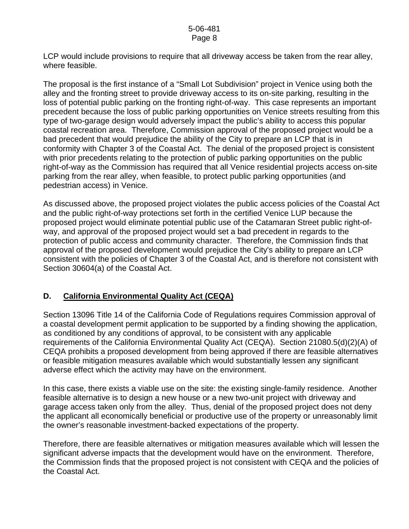### 5-06-481 Page 8

LCP would include provisions to require that all driveway access be taken from the rear alley, where feasible.

The proposal is the first instance of a "Small Lot Subdivision" project in Venice using both the alley and the fronting street to provide driveway access to its on-site parking, resulting in the loss of potential public parking on the fronting right-of-way. This case represents an important precedent because the loss of public parking opportunities on Venice streets resulting from this type of two-garage design would adversely impact the public's ability to access this popular coastal recreation area. Therefore, Commission approval of the proposed project would be a bad precedent that would prejudice the ability of the City to prepare an LCP that is in conformity with Chapter 3 of the Coastal Act. The denial of the proposed project is consistent with prior precedents relating to the protection of public parking opportunities on the public right-of-way as the Commission has required that all Venice residential projects access on-site parking from the rear alley, when feasible, to protect public parking opportunities (and pedestrian access) in Venice.

As discussed above, the proposed project violates the public access policies of the Coastal Act and the public right-of-way protections set forth in the certified Venice LUP because the proposed project would eliminate potential public use of the Catamaran Street public right-ofway, and approval of the proposed project would set a bad precedent in regards to the protection of public access and community character. Therefore, the Commission finds that approval of the proposed development would prejudice the City's ability to prepare an LCP consistent with the policies of Chapter 3 of the Coastal Act, and is therefore not consistent with Section 30604(a) of the Coastal Act.

## **D. California Environmental Quality Act (CEQA)**

Section 13096 Title 14 of the California Code of Regulations requires Commission approval of a coastal development permit application to be supported by a finding showing the application, as conditioned by any conditions of approval, to be consistent with any applicable requirements of the California Environmental Quality Act (CEQA). Section 21080.5(d)(2)(A) of CEQA prohibits a proposed development from being approved if there are feasible alternatives or feasible mitigation measures available which would substantially lessen any significant adverse effect which the activity may have on the environment.

In this case, there exists a viable use on the site: the existing single-family residence. Another feasible alternative is to design a new house or a new two-unit project with driveway and garage access taken only from the alley. Thus, denial of the proposed project does not deny the applicant all economically beneficial or productive use of the property or unreasonably limit the owner's reasonable investment-backed expectations of the property.

Therefore, there are feasible alternatives or mitigation measures available which will lessen the significant adverse impacts that the development would have on the environment. Therefore, the Commission finds that the proposed project is not consistent with CEQA and the policies of the Coastal Act.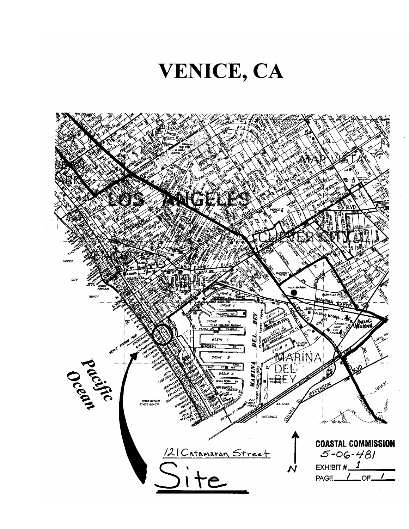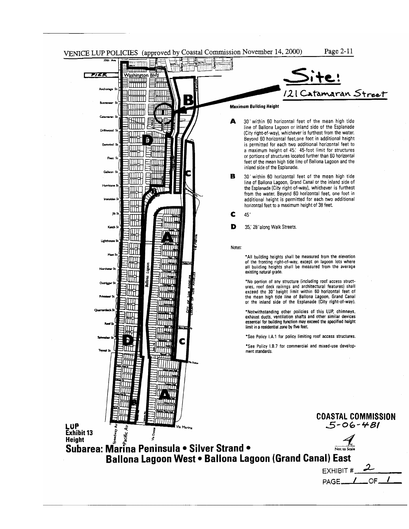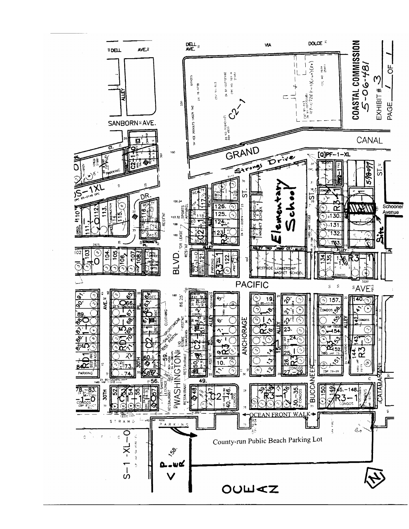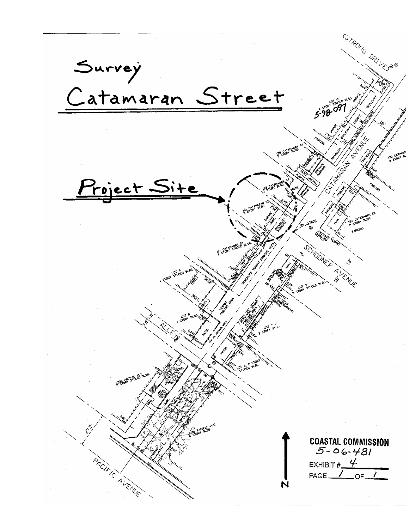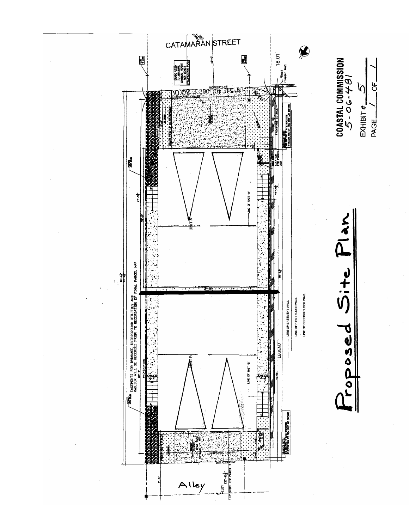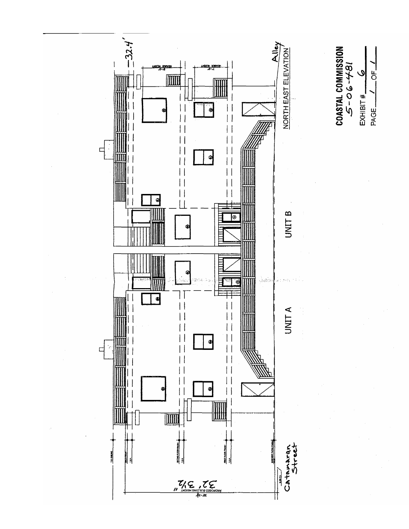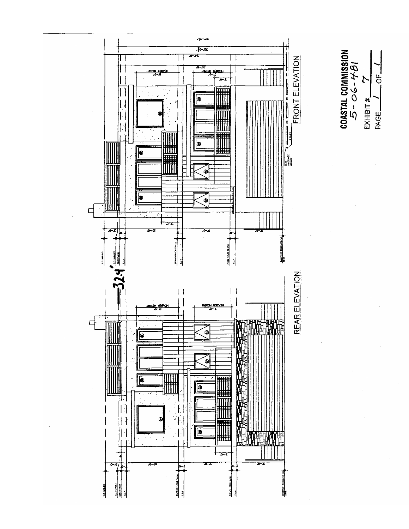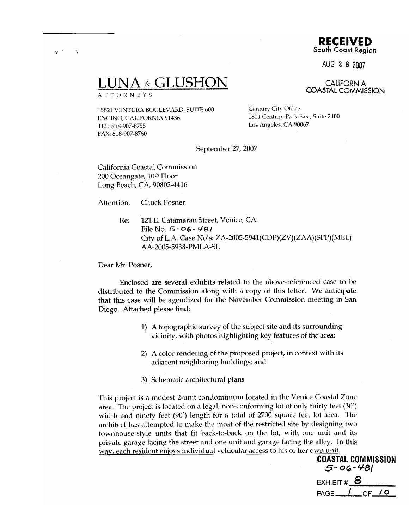RECEIVED South Coast Region

AUG 2 8 2007

**CALIFORNIA COASTAL COMMISSION** 

## -& GLUSHC

**ATTORNEYS** 

15821 VENTURA BOULEVARD, SUITE 600 ENCINO, CALIFORNIA 91436 TEL: 818-907-8755 FAX: 818-907-8760

Century City Office 1801 Century Park East, Suite 2400 Los Angeles, CA 90067

September 27, 2007

California Coastal Commission 200 Oceangate, 10th Floor Long Beach, CA, 90802-4416

**Chuck Posner** Attention:

> 121 E. Catamaran Street, Venice, CA. Re: File No.  $5 - 96 - 481$ City of L.A. Case No's: ZA-2005-5941(CDP)(ZV)(ZAA)(SPP)(MEL) AA-2005-5938-PMLA-SL

Dear Mr. Posner,

Enclosed are several exhibits related to the above-referenced case to be distributed to the Commission along with a copy of this letter. We anticipate that this case will be agendized for the November Commission meeting in San Diego. Attached please find:

- 1) A topographic survey of the subject site and its surrounding vicinity, with photos highlighting key features of the area;
- 2) A color rendering of the proposed project, in context with its adjacent neighboring buildings; and
- 3) Schematic architectural plans

This project is a modest 2-unit condominium located in the Venice Coastal Zone area. The project is located on a legal, non-conforming lot of only thirty feet (30') width and ninety feet (90') length for a total of 2700 square feet lot area. The architect has attempted to make the most of the restricted site by designing two townhouse-style units that fit back-to-back on the lot, with one unit and its private garage facing the street and one unit and garage facing the alley. In this way, each resident enjoys individual vehicular access to his or her own unit.

> **COASTAL COMMISSION**  $5 - 06 - 481$ EXHIBIT  $#$  8  $OF_0$  $\prime$ PAGE\_

 $\mathbf{p}^{(i)}$  .  $\sim$   $\sim$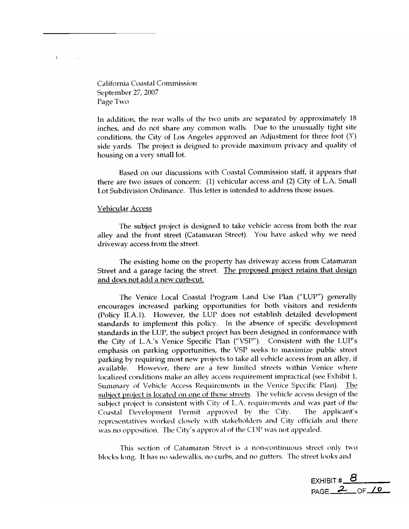California Coastal Commission September 27, 2007 Page Two

÷

In addition, the rear walls of the two units are separated by approximately 18 inches, and do not share any common walls. Due to the unusually tight site conditions, the City of Los Angeles approved an Adjustment for three foot (3') side yards. The project is deigned to provide maximum privacy and quality of housing on a very small lot.

Based on our discussions with Coastal Commission staff, it appears that there are two issues of concern: (1) vehicular access and (2) City of L.A. Small Lot Subdivision Ordinance. This letter is intended to address those issues.

#### **Vehicular Access**

The subject project is designed to take vehicle access from both the rear alley and the front street (Catamaran Street). You have asked why we need driveway access from the street.

The existing home on the property has driveway access from Catamaran Street and a garage facing the street. The proposed project retains that design and does not add a new curb-cut.

The Venice Local Coastal Program Land Use Plan ("LUP") generally encourages increased parking opportunities for both visitors and residents (Policy II.A.1). However, the LUP does not establish detailed development standards to implement this policy. In the absence of specific development standards in the LUP, the subject project has been designed in conformance with the City of L.A.'s Venice Specific Plan ("VSP"). Consistent with the LUP's emphasis on parking opportunities, the VSP seeks to maximize public street parking by requiring most new projects to take all vehicle access from an alley, if However, there are a few limited streets within Venice where available. localized conditions make an alley access requirement impractical (see Exhibit 1, Summary of Vehicle Access Requirements in the Venice Specific Plan). The subject project is located on one of those streets. The vehicle access design of the subject project is consistent with City of L.A. requirements and was part of the Coastal Development Permit approved by the City. The applicant's representatives worked closely with stakeholders and City officials and there was no opposition. The City's approval of the CDP was not appealed.

This section of Catamaran Street is a non-continuous street only two blocks long. It has no sidewalks, no curbs, and no gutters. The street looks and

EXHIBIT #  $8$ PAGE 2 OF 10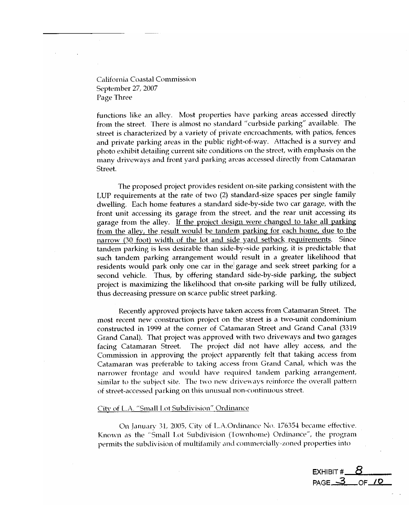California Coastal Commission September 27, 2007 Page Three

functions like an alley. Most properties have parking areas accessed directly from the street. There is almost no standard "curbside parking" available. The street is characterized by a variety of private encroachments, with patios, fences and private parking areas in the public right-of-way. Attached is a survey and photo exhibit detailing current site conditions on the street, with emphasis on the many driveways and front yard parking areas accessed directly from Catamaran Street.

The proposed project provides resident on-site parking consistent with the LUP requirements at the rate of two (2) standard-size spaces per single family dwelling. Each home features a standard side-by-side two car garage, with the front unit accessing its garage from the street, and the rear unit accessing its garage from the alley. If the project design were changed to take all parking from the alley, the result would be tandem parking for each home, due to the narrow (30 foot) width of the lot and side yard setback requirements. Since tandem parking is less desirable than side-by-side parking, it is predictable that such tandem parking arrangement would result in a greater likelihood that residents would park only one car in the garage and seek street parking for a second vehicle. Thus, by offering standard side-by-side parking, the subject project is maximizing the likelihood that on-site parking will be fully utilized, thus decreasing pressure on scarce public street parking.

Recently approved projects have taken access from Catamaran Street. The most recent new construction project on the street is a two-unit condominium constructed in 1999 at the corner of Catamaran Street and Grand Canal (3319 Grand Canal). That project was approved with two driveways and two garages The project did not have alley access, and the facing Catamaran Street. Commission in approving the project apparently felt that taking access from Catamaran was preferable to taking access from Grand Canal, which was the narrower frontage and would have required tandem parking arrangement, similar to the subject site. The two new driveways reinforce the overall pattern of street-accessed parking on this unusual non-continuous street.

### City of L.A. "Small Lot Subdivision" Ordinance

On January 31, 2005, City of L.A.Ordinance No. 176354 became effective. Known as the "Small Lot Subdivision (Townhome) Ordinance", the program permits the subdivision of multifamily and commercially-zoned properties into

EXHIBIT  $#$ PAGE 3 OF 10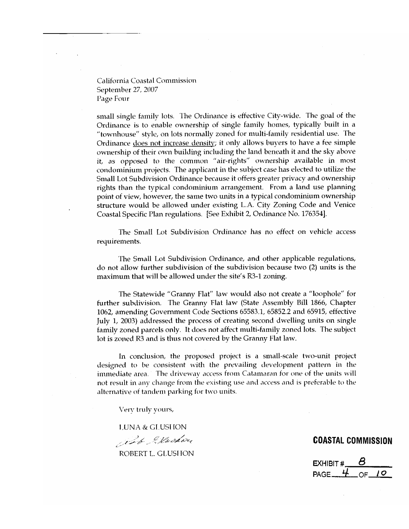California Coastal Commission September 27, 2007 Page Four

small single family lots. The Ordinance is effective City-wide. The goal of the Ordinance is to enable ownership of single family homes, typically built in a "townhouse" style, on lots normally zoned for multi-family residential use. The Ordinance does not increase density; it only allows buyers to have a fee simple ownership of their own building including the land beneath it and the sky above it, as opposed to the common "air-rights" ownership available in most condominium projects. The applicant in the subject case has elected to utilize the Small Lot Subdivision Ordinance because it offers greater privacy and ownership rights than the typical condominium arrangement. From a land use planning point of view, however, the same two units in a typical condominium ownership structure would be allowed under existing L.A. City Zoning Code and Venice Coastal Specific Plan regulations. [See Exhibit 2, Ordinance No. 176354].

The Small Lot Subdivision Ordinance has no effect on vehicle access requirements.

The Small Lot Subdivision Ordinance, and other applicable regulations, do not allow further subdivision of the subdivision because two (2) units is the maximum that will be allowed under the site's R3-1 zoning.

The Statewide "Granny Flat" law would also not create a "loophole" for further subdivision. The Granny Flat law (State Assembly Bill 1866, Chapter 1062, amending Government Code Sections 65583.1, 65852.2 and 65915, effective July 1, 2003) addressed the process of creating second dwelling units on single family zoned parcels only. It does not affect multi-family zoned lots. The subject lot is zoned R3 and is thus not covered by the Granny Flat law.

In conclusion, the proposed project is a small-scale two-unit project designed to be consistent with the prevailing development pattern in the immediate area. The driveway access from Catamaran for one of the units will not result in any change from the existing use and access and is preferable to the alternative of tandem parking for two units.

Very truly yours,

**LUNA & GLUSHON** 

Jeb Skodou

ROBERT L. GLUSHON

EXHIBIT # PAGE  $4$ OF  $10$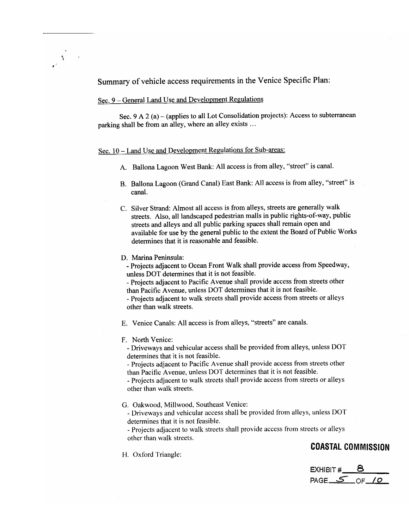Summary of vehicle access requirements in the Venice Specific Plan:

### Sec. 9 – General Land Use and Development Regulations

 $\Delta$ 

Sec.  $9 A 2 (a)$  – (applies to all Lot Consolidation projects): Access to subterranean parking shall be from an alley, where an alley exists ...

### Sec. 10 - Land Use and Development Regulations for Sub-areas:

- A. Ballona Lagoon West Bank: All access is from alley, "street" is canal.
- B. Ballona Lagoon (Grand Canal) East Bank: All access is from alley, "street" is canal.
- C. Silver Strand: Almost all access is from alleys, streets are generally walk streets. Also, all landscaped pedestrian malls in public rights-of-way, public streets and alleys and all public parking spaces shall remain open and available for use by the general public to the extent the Board of Public Works determines that it is reasonable and feasible.
- D. Marina Peninsula:
	- Projects adjacent to Ocean Front Walk shall provide access from Speedway, unless DOT determines that it is not feasible.
	- Projects adjacent to Pacific Avenue shall provide access from streets other than Pacific Avenue, unless DOT determines that it is not feasible.
	- Projects adjacent to walk streets shall provide access from streets or alleys other than walk streets.
- E. Venice Canals: All access is from alleys, "streets" are canals.
- F. North Venice:
	- Driveways and vehicular access shall be provided from alleys, unless DOT determines that it is not feasible.
	- Projects adjacent to Pacific Avenue shall provide access from streets other than Pacific Avenue, unless DOT determines that it is not feasible.
	- Projects adjacent to walk streets shall provide access from streets or alleys other than walk streets.
- G. Oakwood, Millwood, Southeast Venice:
	- Driveways and vehicular access shall be provided from alleys, unless DOT determines that it is not feasible.
	- Projects adjacent to walk streets shall provide access from streets or alleys other than walk streets.

### **COASTAL COMMISSION**

H. Oxford Triangle:

EXHIBIT # PAGE  $S$  of  $\Omega$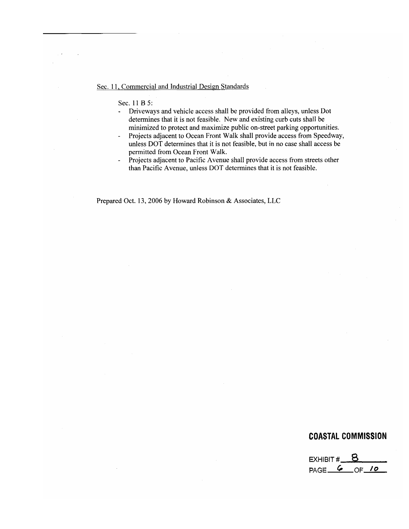### Sec. 11, Commercial and Industrial Design Standards

Sec. 11 B 5:

- Driveways and vehicle access shall be provided from alleys, unless Dot  $\omega_{\rm c}$ determines that it is not feasible. New and existing curb cuts shall be minimized to protect and maximize public on-street parking opportunities.
- Projects adjacent to Ocean Front Walk shall provide access from Speedway,  $\overline{\phantom{a}}$ unless DOT determines that it is not feasible, but in no case shall access be permitted from Ocean Front Walk.
- Projects adjacent to Pacific Avenue shall provide access from streets other  $\mathbb{Z}^2$ than Pacific Avenue, unless DOT determines that it is not feasible.

Prepared Oct. 13, 2006 by Howard Robinson & Associates, LLC

EXHIBIT  $\#$  8 PAGE 6 OF 10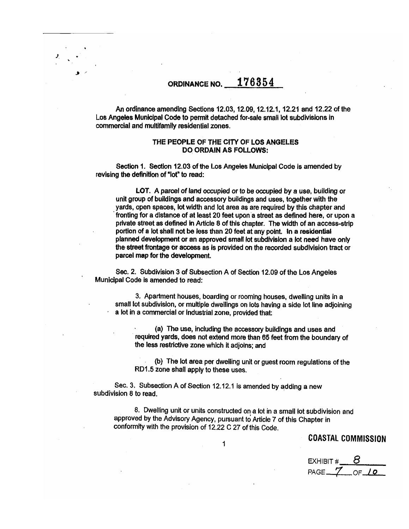## ORDINANCE NO.  $176354$

An ordinance amending Sections 12.03, 12.09, 12.12.1, 12.21 and 12.22 of the Los Angeles Municipal Code to permit detached for-sale small lot subdivisions in commercial and multifamily residential zones.

### THE PEOPLE OF THE CITY OF LOS ANGELES **DO ORDAIN AS FOLLOWS:**

Section 1. Section 12.03 of the Los Angeles Municipal Code is amended by revising the definition of "lot" to read:

LOT. A parcel of land occupied or to be occupied by a use, building or unit group of buildings and accessory buildings and uses, together with the yards, open spaces, lot width and lot area as are required by this chapter and fronting for a distance of at least 20 feet upon a street as defined here, or upon a private street as defined in Article 8 of this chapter. The width of an access-strip portion of a lot shall not be less than 20 feet at any point. In a residential planned development or an approved small lot subdivision a lot need have only the street frontage or access as is provided on the recorded subdivision tract or parcel map for the development.

Sec. 2. Subdivision 3 of Subsection A of Section 12.09 of the Los Angeles Municipal Code is amended to read:

3. Apartment houses, boarding or rooming houses, dwelling units in a small lot subdivision, or multiple dwellings on lots having a side lot line adjoining a lot in a commercial or industrial zone, provided that:

(a) The use, including the accessory buildings and uses and required yards, does not extend more than 65 feet from the boundary of the less restrictive zone which it adjoins; and

(b) The lot area per dwelling unit or guest room regulations of the RD1.5 zone shall apply to these uses.

Sec. 3. Subsection A of Section 12.12.1 is amended by adding a new subdivision 8 to read.

8. Dwelling unit or units constructed on a lot in a small lot subdivision and approved by the Advisory Agency, pursuant to Article 7 of this Chapter in conformity with the provision of 12.22 C 27 of this Code.

 $\mathbf{1}$ 

**COASTAL COMMISSION** 

EXHIBIT # PAGE 7 OF 10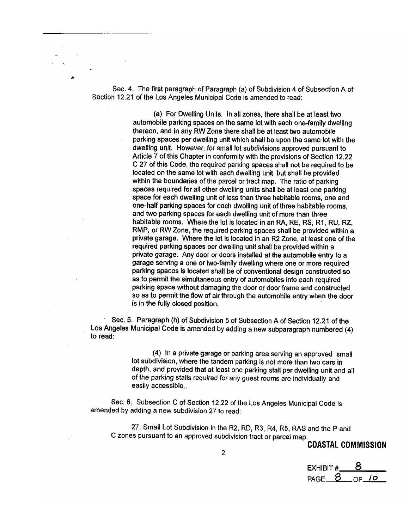Sec. 4. The first paragraph of Paragraph (a) of Subdivision 4 of Subsection A of Section 12.21 of the Los Angeles Municipal Code is amended to read:

> (a) For Dwelling Units. In all zones, there shall be at least two automobile parking spaces on the same lot with each one-family dwelling thereon, and in any RW Zone there shall be at least two automobile parking spaces per dwelling unit which shall be upon the same lot with the dwelling unit. However, for small lot subdivisions approved pursuant to Article 7 of this Chapter in conformity with the provisions of Section 12.22 C 27 of this Code, the required parking spaces shall not be required to be located on the same lot with each dwelling unit, but shall be provided within the boundaries of the parcel or tract map. The ratio of parking spaces required for all other dwelling units shall be at least one parking space for each dwelling unit of less than three habitable rooms, one and one-half parking spaces for each dwelling unit of three habitable rooms, and two parking spaces for each dwelling unit of more than three habitable rooms. Where the lot is located in an RA, RE, RS, R1, RU, RZ, RMP, or RW Zone, the required parking spaces shall be provided within a private garage. Where the lot is located in an R2 Zone, at least one of the required parking spaces per dwelling unit shall be provided within a private garage. Any door or doors installed at the automobile entry to a garage serving a one or two-family dwelling where one or more required parking spaces is located shall be of conventional design constructed so as to permit the simultaneous entry of automobiles into each required parking space without damaging the door or door frame and constructed so as to permit the flow of air through the automobile entry when the door is in the fully closed position.

Sec. 5. Paragraph (h) of Subdivision 5 of Subsection A of Section 12.21 of the Los Angeles Municipal Code is amended by adding a new subparagraph numbered (4) to read:

> (4) In a private garage or parking area serving an approved small lot subdivision, where the tandem parking is not more than two cars in depth, and provided that at least one parking stall per dwelling unit and all of the parking stalls required for any guest rooms are individually and easily accessible..

Sec. 6. Subsection C of Section 12.22 of the Los Angeles Municipal Code is amended by adding a new subdivision 27 to read:

27. Small Lot Subdivision in the R2, RD, R3, R4, R5, RAS and the P and C zones pursuant to an approved subdivision tract or parcel map.

**EXHIBIT#**  $PAGE - B$ OF  $10$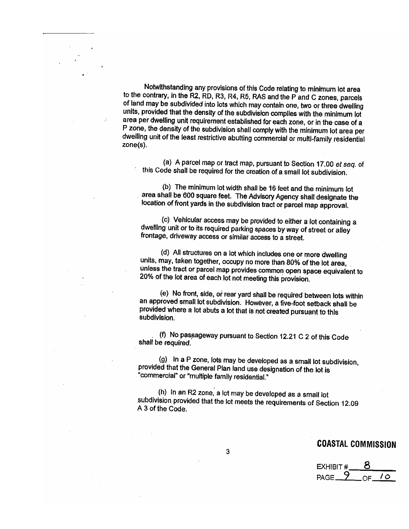Notwithstanding any provisions of this Code relating to minimum lot area to the contrary, in the R2, RD, R3, R4, R5, RAS and the P and C zones, parcels of land may be subdivided into lots which may contain one, two or three dwelling units, provided that the density of the subdivision complies with the minimum lot area per dwelling unit requirement established for each zone, or in the case of a P zone, the density of the subdivision shall comply with the minimum lot area per dwelling unit of the least restrictive abutting commercial or multi-family residential  $zone(s)$ .

 $\mathcal{A}$ 

(a) A parcel map or tract map, pursuant to Section 17.00 et seq. of this Code shall be required for the creation of a small lot subdivision.

(b) The minimum lot width shall be 16 feet and the minimum lot area shall be 600 square feet. The Advisory Agency shall designate the location of front yards in the subdivision tract or parcel map approval.

(c) Vehicular access may be provided to either a lot containing a dwelling unit or to its required parking spaces by way of street or alley frontage, driveway access or similar access to a street.

(d) All structures on a lot which includes one or more dwelling units, may, taken together, occupy no more than 80% of the lot area, unless the tract or parcel map provides common open space equivalent to 20% of the lot area of each lot not meeting this provision.

(e) No front, side, or rear yard shall be required between lots within an approved small lot subdivision. However, a five-foot setback shall be provided where a lot abuts a lot that is not created pursuant to this subdivision

(f) No passageway pursuant to Section 12.21 C 2 of this Code shall be required.

(g) In a P zone, lots may be developed as a small lot subdivision, provided that the General Plan land use designation of the lot is "commercial" or "multiple family residential."

(h) In an R2 zone, a lot may be developed as a small lot subdivision provided that the lot meets the requirements of Section 12.09 A 3 of the Code.

**EXHIBIT#**  $PAGE = 9$  $10<sup>°</sup>$  $OF_$